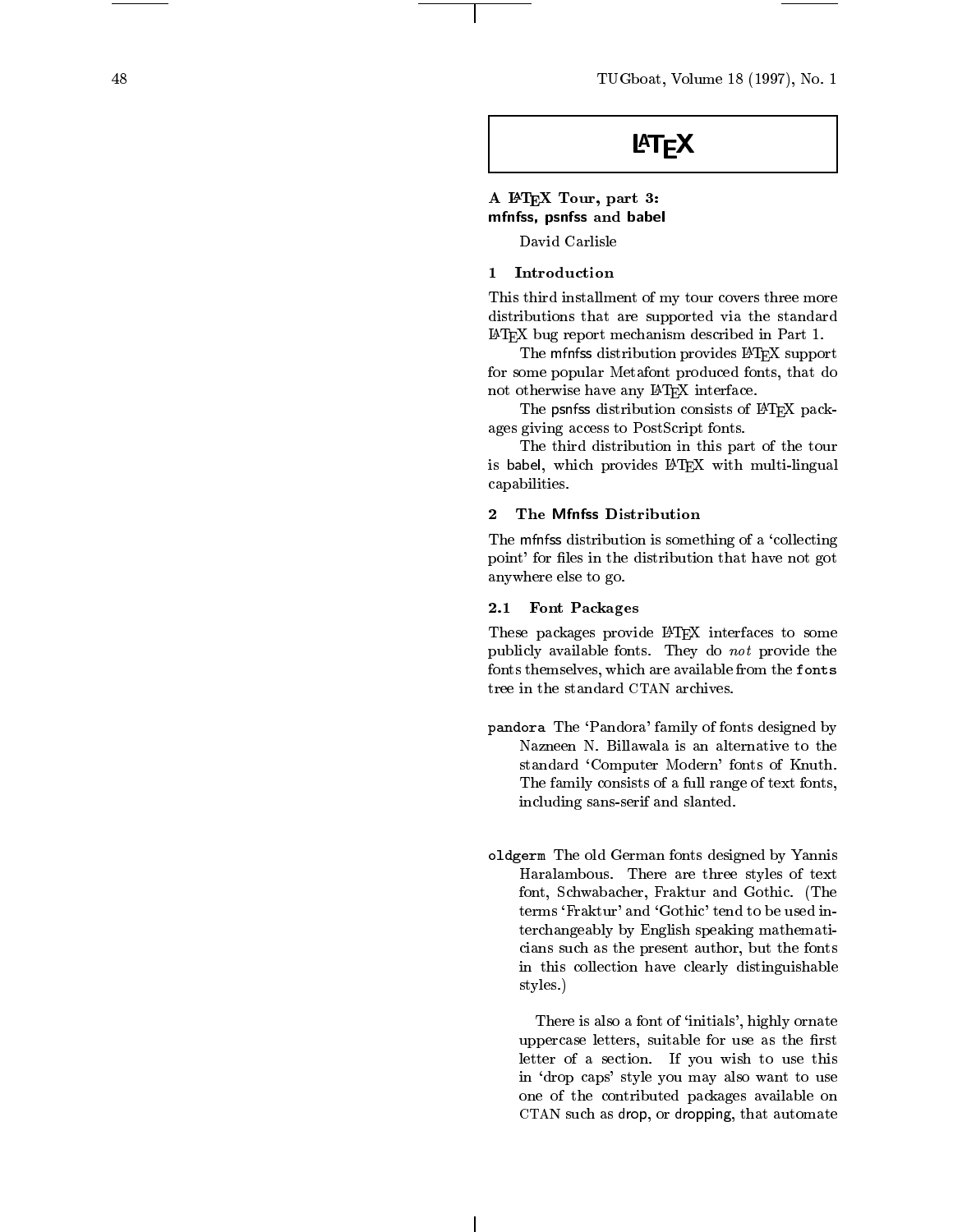48 TUGboat, Volume 18 (1997), No. 1

# **LAT<sub>F</sub>X**

# A LATEX Tour, part 3: mfnfss, psnfss and babel

David Carlisle

# 1 Introduction

This third installment of my tour control measurement of my tour control measurement of my tour control measurement distributions that are supported via the standard LATEX bug report mechanism described in Part 1.

The mfnfss distribution provides LATFX support for some popular Metafont produced fonts, that do not otherwise ha ve any LATEX interface.

The psnfss distribution consists of IATEX packages giving access to PostScript fonts.

The third distribution in this part of the tour is babel, which provides **D** rear with multi-lingual capabilities.

## 2 The Mfnfss Distribution

The mfnfss distribution is something of a 'collecting point' for files in the distribution that have not got anywhere else to go.

#### 2.1 Font Pac kages

These pac kages provide LATEX interfaces to some publicable, considered the form of the form of the second the second theory of the second theory of the second fonts themselves, which are a vailable from the fonts tree in the standard CTAN archives.

- pandora The `Pandora' family of fonts designed b y standard `Computer Modern' fonts of Knuth. The family consists of a full range of text fonts, including sans-serif and slanted.
- oldgerm The old German fonts designed by Yannis Haralambous. There are three styles of text font, Sc h wabacher, Fraktur and Gothic. (The terms 'Fraktur' and 'Gothic' tend to be used interchangeably by English speaking mathematicians such as the present author, but the fonts in this collection ha v e clearly distinguishable styles.)

There is also a font of 'initials', highly ornate uppercase letters, suitable for use as the first letter of a section. If  $\mu$  is the section. If  $\mu$ in `drop caps' style you ma y also wan t to use one of the contributed packages and contributed packages are contributed packages and contributed packages are CTAN such as drop, or dropping, that automate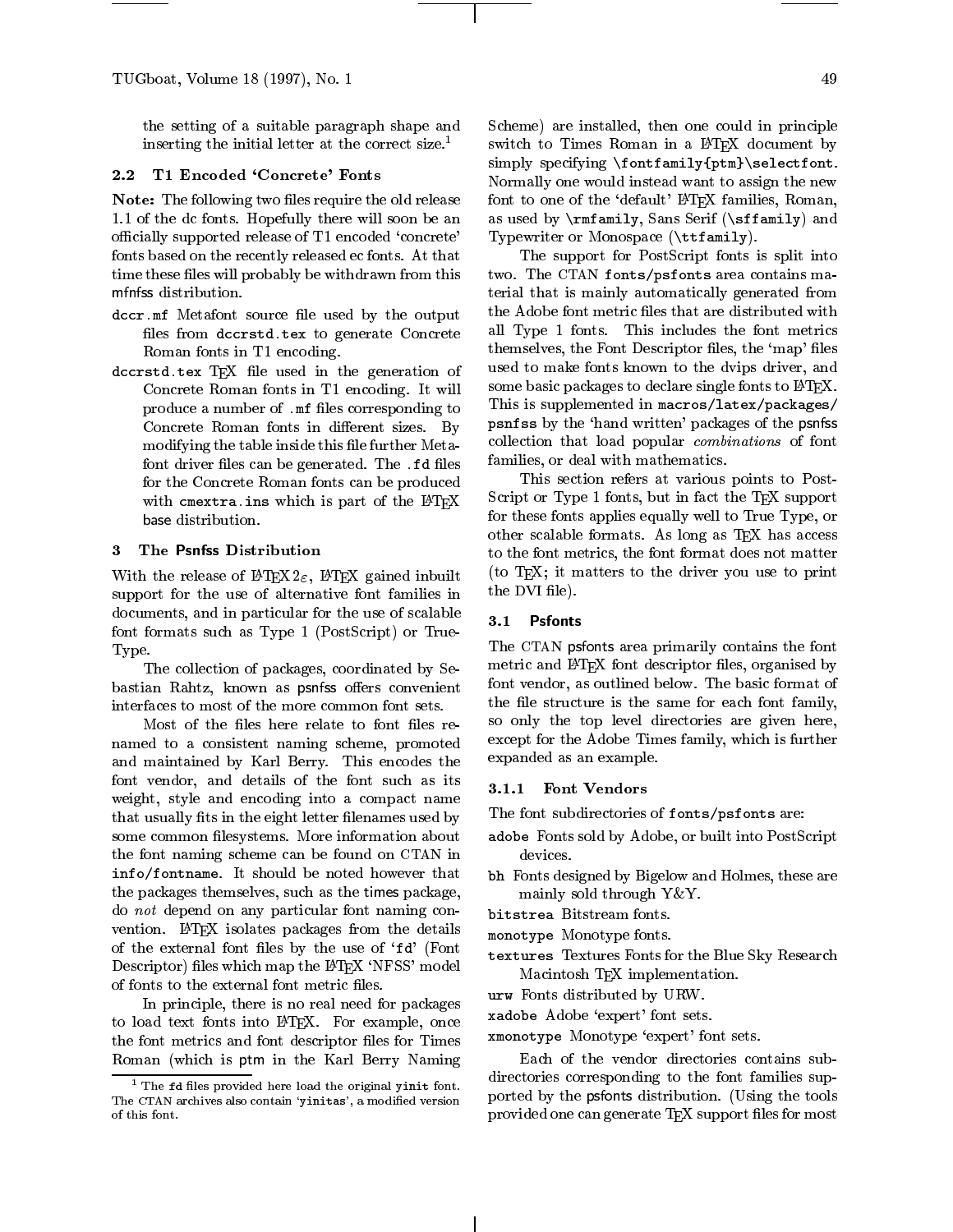TUGboat, Volume 18 (1997), No. 1 49

the setting of a suitable paragraph shape and inserting the initial letter at the correct size.<sup>1</sup>

#### 2.2 T1 Encoded 'Concrete' Fonts

**Note:** The following two files require the old release 1.1 of the dc fonts. Hopefully there will soon be an officially supported release of T1 encoded 'concrete' fonts based on the recently released ec fonts. At that time these files will probably be withdrawn from this

- asser me metallite source met used by the output files from dccrstd.tex to generate Concrete Roman fonts in T1 encoding.
- $\mathbf{L}$  is the state in the generation of the generation of  $\mathbf{L}$ Concrete Roman fonts in T1 encoding. It will produce a number of .mf files corresponding to Concrete Roman fonts in different sizes. By modifying the table inside this file further Metafont driver files can be generated. The .fd files for the Concrete Roman fonts can be produced with cmextra.ins which is part of the  $IATFX$

#### 3 The Psnfss Distribution

With the release of  $\text{LATEX2}_{\varepsilon}$ , LATEX gained inbuilt support for the use of alternative font families in documents, and in particular for the use of scalable font formats such as Type 1 (PostScript) or True-Type.

The collection of packages, coordinated by Sebastian Rahtz, known as psnfss offers convenient interfaces to most of the more common font sets.

Most of the files here relate to font files renamed to a consistent naming scheme, promoted and maintained by Karl Berry. This encodes the font vendor, and details of the font such as its weight, style and encoding into a compact name that usually fits in the eight letter filenames used by some common filesystems. More information about the font naming scheme can be found on CTAN in info/fontname. It should be noted however that the packages themselves, such as the times package, do not depend on any particular font naming con vention. LATEX isolates packages from the details of the external font files by the use of 'fd' (Font Descriptor) files which map the IATEX 'NFSS' model of fonts to the external font metric files.

In principle, there is no real need for packages to load text fonts into LAT<sub>F</sub>X. For example, once the font metrics and font descriptor files for Times Roman (which is ptm in the Karl Berry Naming Scheme) are installed, then one could in principle switch to Times Roman in a IATEX document by simply specifying \fontfamily{ptm}\selectfont. Normally one would instead want to assign the new font to one of the `default' LATEX families, Roman, as used by \rmfamily, Sans Serif (\sffamily) and Typewriter or Monospace (\ttfamily).

The support for PostScript fonts is split into two. The CTAN fonts/psfonts area contains material that is mainly automatically generated from  ${\rm the\; Adobe\; font\; metric\; files\; that\; are\; distributed\; with}$ all Type 1 fonts. This includes the font metrics themselves, the Font Descriptor files, the 'map' files used to make fonts known to the dvips driver, and some basic packages to declare single fonts to L<sup>AT</sup>EX. This is supplemented in macros/latex/packages/ psnfss by the `hand written' packages of the psnfss collection that load popular combinations of font families, or deal with mathematics.

This section refers at various points to Post-Script or Type 1 fonts, but in fact the TEX support for these fonts applies equally well to True Type, or other scalable formats. As long as TEX has access to the font metrics, the font format does not matter (to TEX; it matters to the driver you use to print the DVI file).

#### 3.1 Psfonts

The CTAN psfonts area primarily contains the font metric and IATEX font descriptor files, organised by font vendor, as outlined below. The basic format of the file structure is the same for each font family, so only the top level directories are given here, except for the Adobe Times family, which is further expanded as an example.

#### 3.1.1 Font Vendors

The font subdirectories of fonts/psfonts are:

- adobe Fonts sold by Adobe, or built into PostScript i devices.
- $\mathbf{F}$  Forted designed by Bigelow and Holmes, these are  $\mathbf{F}$ mainly sold through Y&Y.
- 
- monotype Monotype fonts.
- $t = t$  . The Blue Sky Research for the Blue Sky Research  $t$ Macintosh TEX implementation.
- urw. Forms distributed by URW.
- xadobe Adobe `expert' font sets.
- xmonotype Monotype `expert' font sets.

Each of the vendor directories contains subdirectories corresponding to the font families supported by the psfonts distribution. (Using the tools provided one can generate TFX support files for most

 $\,$  - The fd nies provided here load the original yinit font. The CTAN archives also contain 'yinitas', a modified version  $P^{\text{OL}}$ of this font.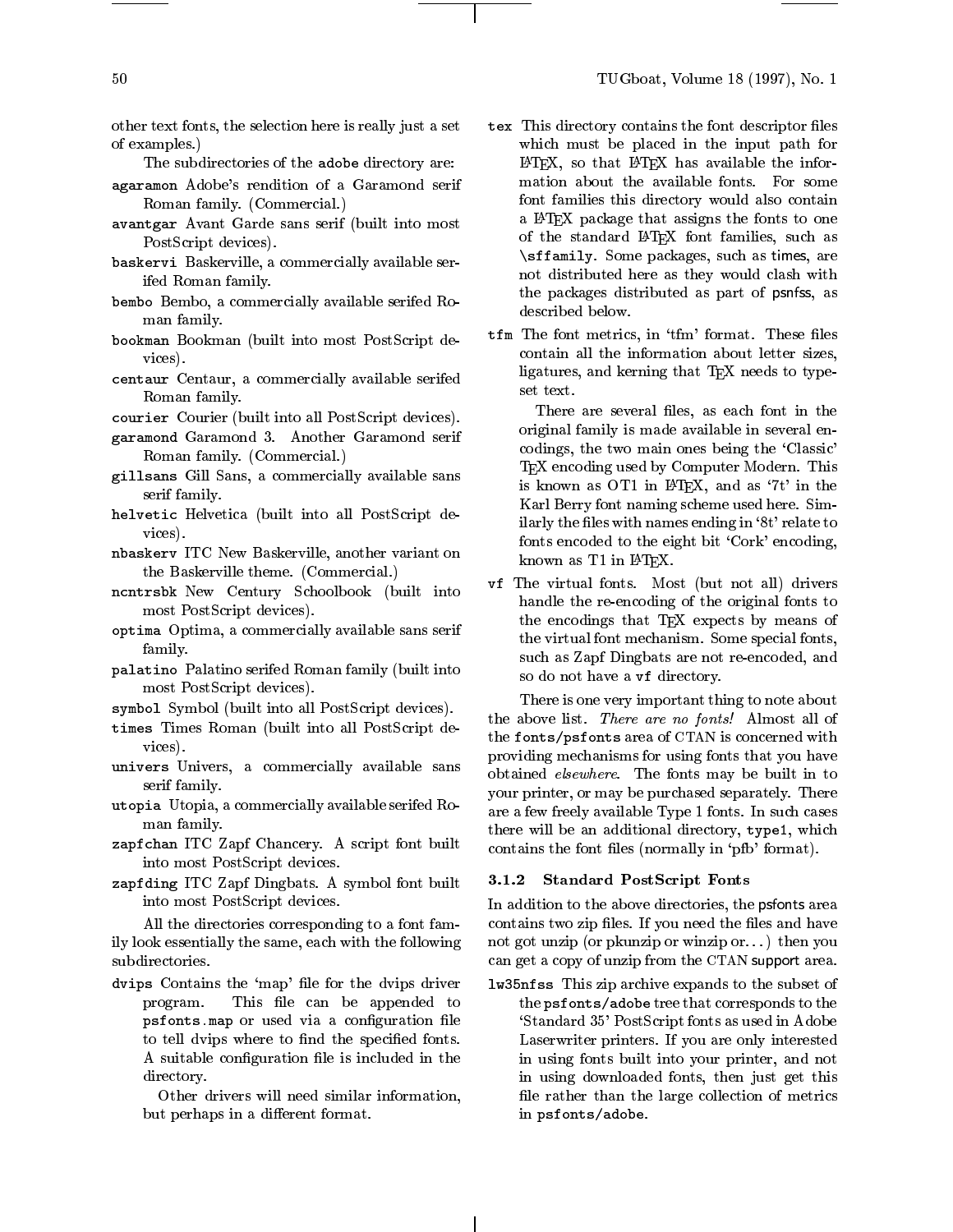other text fonts, the selection here is really just a set of examples.)

- The subdirectories of the adobe directory are:
- agaramon Adobe's rendition of a Garamond serif Roman family. (Commercial.)
- avant gar Avant Garde sans series (built into most in PostScript devices).
- baskervi Baskerville, a commercially available serifed Roman family.
- bembo Bembo, a commercially available serifed Roman family.
- bookman Bookman (built into most PostScript devices).
- centaur Centaur, a commercially available serifice Roman family.

courier courier (built into all PostScript devices).

- garamond Garamond 3. Another Garamond serif Roman family. (Commercial.)
- $\Box$ serif family.
- helvetic Helvetica (built into allPostScript devices).
- nbaskerv ITC New Baskerville, another variant on the Baskerville theme. (Commercial.)
- ntentration Century Dencested (built into the contract into the contract of the contract into the contract of most PostScript devices).
- optima Optima, a commercially available sans serif family.
- palatino Palatino serification into palatino <sub>de</sub> la matematic most PostScript devices).
- $s$  , and  $s = \cup$  , and  $s = \cup$  such that  $s = \cup$  such that  $s = \cup$  . If  $s = \cup$
- times Times Roman (built into all PostScript devices).
- univers Universy a commercially available same by serif family.
- utopia Utopia, a commercially available serifed Roman family.
- $\blacksquare$ zaph ITC  $\blacksquare$   $\blacksquare$   $\blacksquare$   $\blacksquare$   $\blacksquare$   $\blacksquare$   $\blacksquare$   $\blacksquare$   $\blacksquare$   $\blacksquare$   $\blacksquare$   $\blacksquare$   $\blacksquare$   $\blacksquare$   $\blacksquare$   $\blacksquare$   $\blacksquare$   $\blacksquare$   $\blacksquare$   $\blacksquare$   $\blacksquare$   $\blacksquare$   $\blacksquare$   $\blacksquare$   $\blacksquare$   $\blacksquare$   $\blacksquare$   $\blacksquare$   $\blacksquare$   $\bl$ into most PostScript devices.
- zapt Ding Itch Dingbats. A symbol for a symbol for a symbol for built into most PostScript devices.

All the directories corresponding to a font family look essentially the same, each with the following subdirectories.

- dvips Contains the 'map' file for the dvips driver  $\quad$  1w program. This file can be appended to psfonts.map of used via a consequence more to tell dvips where to find the specified fonts. A suitable configuration file is included in the directory.
	- Other drivers will need similar information, but perhaps in a different format.
- tex This directory contains the form and descript the form which must be placed in the input path for  $LATEX$ , so that  $LATEX$  has available the information about the available fonts. For some font families this directory would also contain a LATEX package that assigns the fonts to one of the standard LAT<sub>F</sub>X font families, such as \sffamily. Some packages, such as times, are not distributed here as they would clash with the packages distributed as part of psnfss, as described below.
- $\tt{tfm}$  The font metrics, in  $\rm{`tfm'}$  format. These files contain all the information about letter sizes, ligatures, and kerning that T<sub>E</sub>X needs to typeset text.

There are several files, as each font in the original family is made available in several encodings, the two main ones being the `Classic' T<sub>EX</sub> encoding used by Computer Modern. This is known as OT1 in LATEX, and as `7t' in the Karl Berry font naming scheme used here. Similarly the files with names ending in '8t' relate to fonts encoded to the eight bit 'Cork' encoding, known as T1 in IATFX.

ve the virtual formula formula (but not all) drivers. handle the re-encoding of the original fonts to the encodings that TEX expects by means of the virtual font mechanism. Some special fonts, such as Zapf Dingbats are not re-encoded, and so do not have a vf directory.

There is one very important thing to note about the above list. There are no fonts! Almost all of the fonts/psfonts area of CTAN is concerned with providing mechanisms for using fonts that you have obtained elsewhere. The fonts may be built in to your printer, or may be purchased separately. There are a few freely available Type 1 fonts. In such cases there will be an additional directory, type1, which contains the font files (normally in 'pfb' format).

#### 3.1.2 Standard PostScript Fonts

In addition to the above directories, the psfonts area contains two zip files. If you need the files and have not got unzip (or pkunzip or winzip or. . . ) then you can get a copy of unzip from the CTAN support area.

 $\blacksquare$  .  $\blacksquare$  .  $\blacksquare$  .  $\blacksquare$  .  $\blacksquare$  .  $\blacksquare$  .  $\blacksquare$  .  $\blacksquare$  .  $\blacksquare$  .  $\blacksquare$  .  $\blacksquare$  .  $\blacksquare$  .  $\blacksquare$  .  $\blacksquare$  .  $\blacksquare$  .  $\blacksquare$  .  $\blacksquare$  .  $\blacksquare$  .  $\blacksquare$  .  $\blacksquare$  .  $\blacksquare$  .  $\blacksquare$  .  $\blacksquare$  .  $\blacksquare$  .  $\blacksquare$ the psfonts/adobe tree that corresponds to the `Standard 35' PostScript fonts as used in Adobe Laserwriter printers. If you are only interested in using fonts built into your printer, and not in using downloaded fonts, then just get this file rather than the large collection of metrics in psfonts/adobe.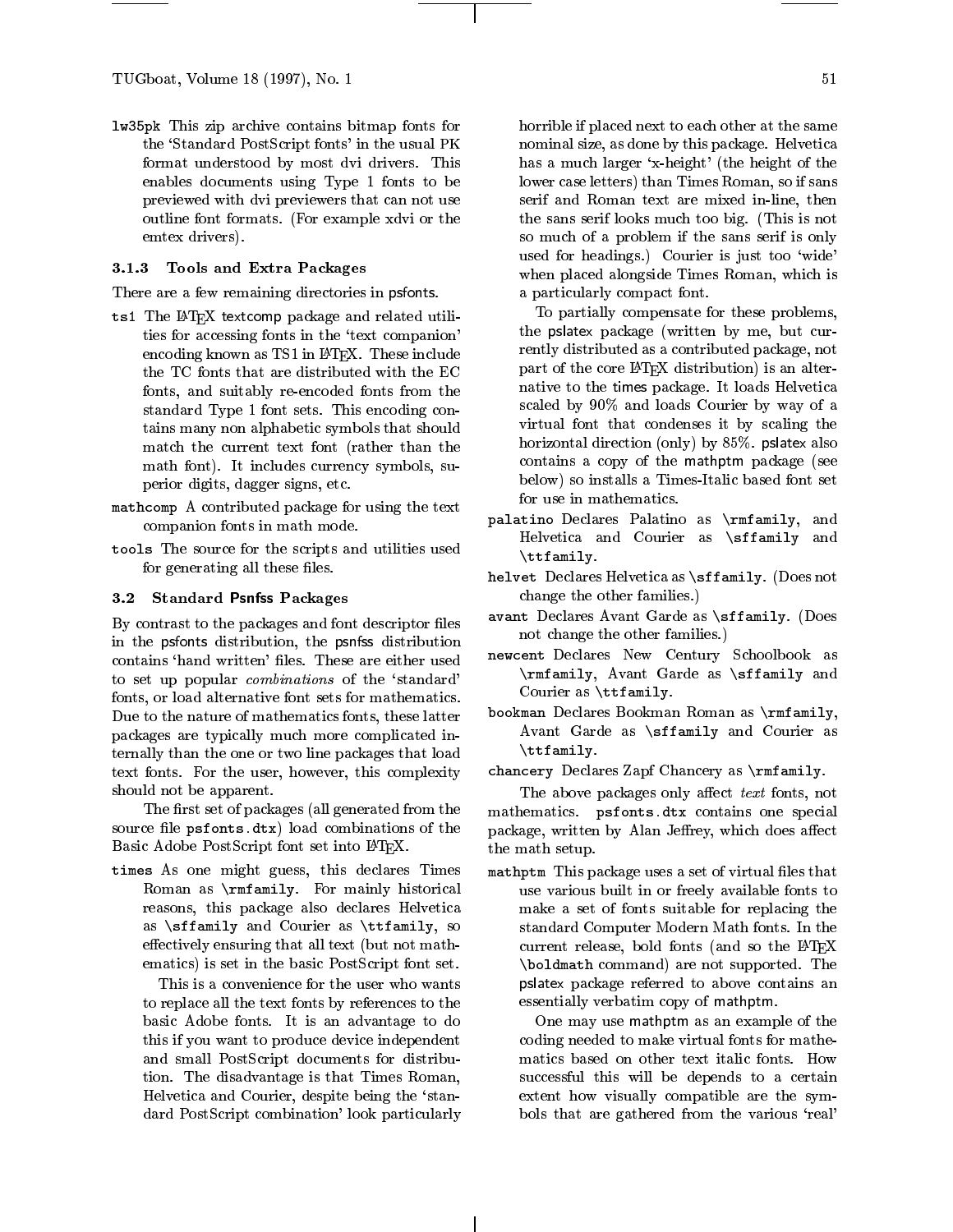lw35pk This zip archive contains bitmap fonts for the `Standard PostScript fonts' in the usual PK format understood by most dvi drivers. This enables documents using Type 1 fonts to be previewed with dvi previewers that can not use outline font formats. (For example xdvi or the emtex drivers).

# 3.1.3 Tools and Extra Packages

There are a few remaining directories in psfonts.

- $\frac{1}{2}$  The  $\frac{1}{2}$   $\frac{1}{2}$  textcomp package and related utilities for accessing fonts in the `text companion' encoding known as TS1 in L<sup>AT</sup>FX. These include the TC fonts that are distributed with the EC fonts, and suitably re-encoded fonts from the standard Type 1 font sets. This encoding contains many non alphabetic symbols that should match the current text font (rather than the math font). It includes currency symbols, superior digits, dagger signs, etc.
- mathemp as contributed package for using the text. companion fonts in math mode.
- tools The source for the scripts and utilities used for generating all these files.

#### $3.2$ **Standard Psnfss Packages**

By contrast to the packages and font descriptor files in the psfonts distribution, the psnfss distribution contains 'hand written' files. These are either used to set up popular combinations of the `standard' fonts, or load alternative font sets for mathematics. Due to the nature of mathematics fonts, these latter packages are typically much more complicated internally than the one or two line packages that load text fonts. For the user, however, this complexity should not be apparent.

The first set of packages (all generated from the source file psfonts.dtx) load combinations of the Basic Adobe PostScript font set into LATEX.

 $t = 1$  . The state  $\frac{1}{2}$  is declared  $\frac{1}{2}$  and  $\frac{1}{2}$  in  $\frac{1}{2}$ Roman as \rmfamily. For mainly historical reasons, this package also declares Helvetica as \sffamily and Courier as \ttfamily, so effectively ensuring that all text (but not mathematics) is set in the basic PostScript font set.

This is a convenience for the user who wants to replace all the text fonts by references to the basic Adobe fonts. It is an advantage to do this if you want to produce device independent and small PostScript documents for distribution. The disadvantage is that Times Roman, Helvetica and Courier, despite being the `standard PostScript combination' look particularly horrible if placed next to each other at the same nominal size, as done by this package. Helvetica has a much larger `x-height' (the height of the lower case letters) than Times Roman, so if sans serif and Roman text are mixed in-line, then the sans serif looks much too big. (This is not so much of a problem if the sans serif is only used for headings.) Courier is just too 'wide' when placed alongside Times Roman, which is a particularly compact font.

To partially compensate for these problems, the pslatex package (written by me, but currently distributed as a contributed package, not part of the core LAT<sub>E</sub>X distribution) is an alternative to the times package. It loads Helvetica scaled by  $90\%$  and loads Courier by way of a virtual font that condenses it by scaling the horizontal direction (only) by 85%. pslatex also contains a copy of the mathptm package (see below) so installs a Times-Italic based font set for use in mathematics.

- palatino Declares Palatino as \rmfamily, and a Helvetica and Courier as \sffamily and \ttfamily.
- $\ldots$  . Declares  $\ldots$  . The contract  $\ldots$ change the other families.)
- avant Declares Avant Garde as \sfranching. (Does Avant not change the other families.)
- newcent Declares New Century Denocrocent as \rmfamily, Avant Garde as \sffamily and Courier as \ttfamily.
- bookman Declares Bookman Roman as \rmfamily, Avant Garde as \sffamily and Courier as \ttfamily.
- chancery Declares Zapf Chancery as \rmfamily.

The above packages only affect text fonts, not mathematics. psfonts.dtx contains one special package, written by Alan Jeffrey, which does affect the math setup.

 $\mathbf{m}$  and  $\mathbf{r}$  and  $\mathbf{r}$  package uses a set of virtual virtual virtual  $\mathbf{r}$ use various built in or freely available fonts to make a set of fonts suitable for replacing the standard Computer Modern Math fonts. In the current release, bold fonts (and so the LATEX  $\boldsymbol{\theta}$  are not supported. The notation of supported the supported  $\boldsymbol{\theta}$ pslatex package referred to above contains an essentially verbatim copy of mathptm.

One may use mathptm as an example of the coding needed to make virtual fonts for mathematics based on other text italic fonts. How successful this will be depends to a certain extent how visually compatible are the symbols that are gathered from the various 'real'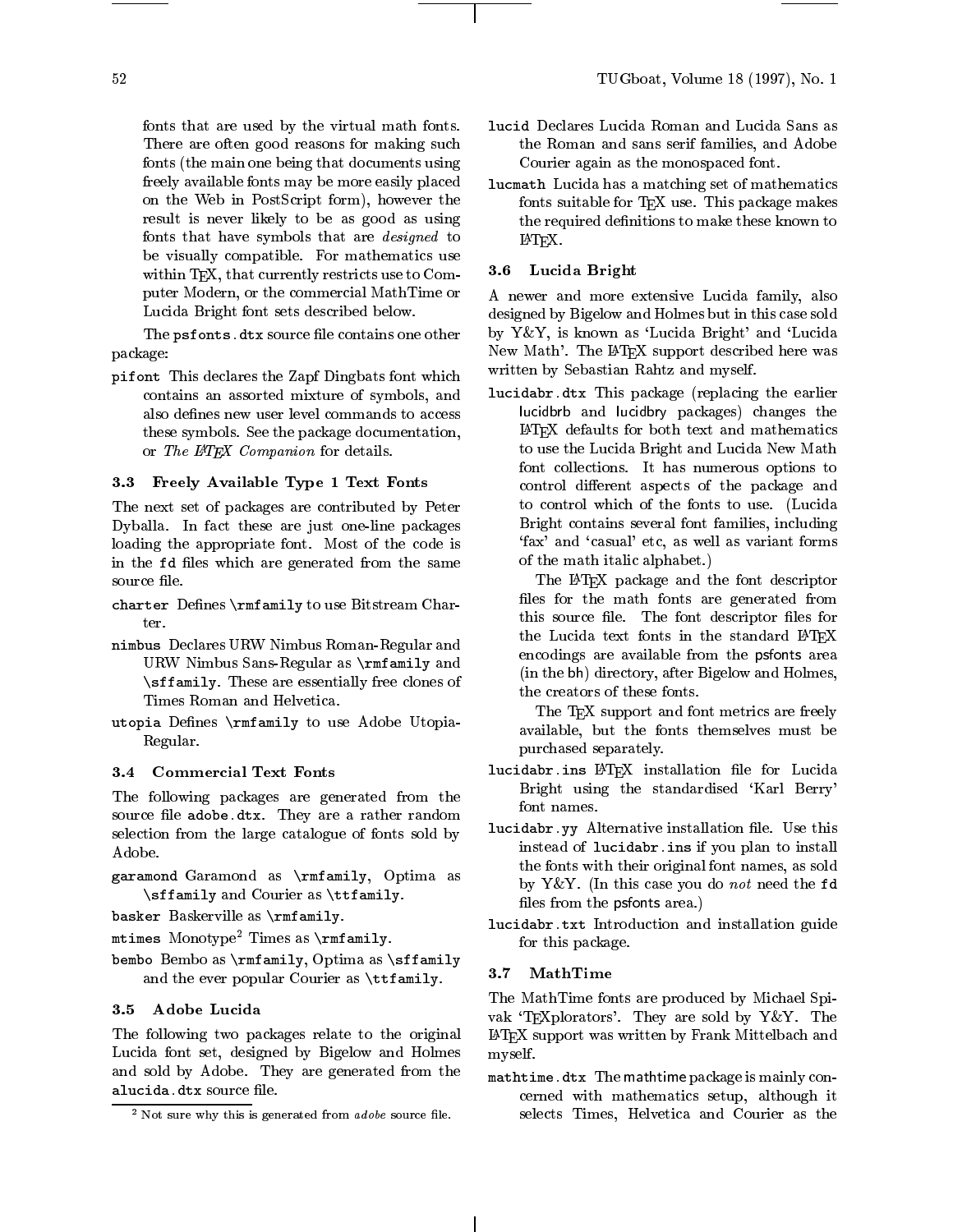fonts that are used by the virtual math fonts. fonts (the main one being that documents using freely available fonts may be more easily placed on the Web in PostScript form), however the result is never likely to be as good as using fonts that have symbols that are designed to be visually compatible. For mathematics use within T<sub>F</sub>X, that currently restricts use to Computer Modern, or the commercial MathTime or Lucida Bright font sets described below.

The psfonts.dtx source file contains one other package:

 $p = -1$ . This declares the Zapf Dingbats font which  $T$ contains an assorted mixture of symbols, and also defines new user level commands to access these symbols. See the package documentation, or The IATEX Companion for details.

### 3.3 Freely Available Type 1 Text Fonts

The next set of packages are contributed by Peter Dyballa. In fact these are just one-line packages loading the appropriate font. Most of the code is in the fd files which are generated from the same source file.

- charter Denes \rmfamily to use Bitstream Charter
- nimbus Declares URW Nimbus Roman-Regular and Museum Roman-URW Nimbus Sans-Regular as \rmfamily and \sffamily. These are essentially free clones of Times Roman and Helvetica.
- utopia Denes (2000 1000 1000 1000 1000 1000 1000 Regular.

#### 3.4 Commercial Text Fonts

The following packages are generated from the string of the string of the string of the string of the string of the string of the string of the string of the string of the string of the string of the string of the string o source file adobe.dtx. They are a rather random selection from the large catalogue of fonts sold by Adobe.

- $\Box$ \sffamily and Courier as \ttfamily.
- base basker Baskerville as  $\sim$   $\sim$   $\sim$   $\sim$   $\sim$   $\sim$

 $\tt{m}$ umes Monotype Innes as  $\tt{rmamary.}$ 

because a become as  $\overline{p}$  and assume  $\overline{p}$  , Optimals as  $\overline{p}$  as a measure  $\overline{p}$ and the ever popular Courier as \ttfamily.

### 3.5 Adobe Lucida

The following two packages relate to the original Lucida font set, designed by Bigelow and Holmes and sold by Adobe. They are generated from the alucida.dtx source le.

- There are often good reasons for making such the Roman and sans serif families, and Adobe the Roman and sans series there is an adopted to a series to Courier again as the monospaced font.
	- lucmath Lucida has a matching set of mathematics fonts suitable for TEX use. This package makes the required definitions to make these known to LATEX.

#### 3.6 Lucida Bright

A newer and more extensive Lucida family, also designed by Bigelow and Holmes but in this case sold by Y&Y, is known as 'Lucida Bright' and 'Lucida New Math'. The IATEX support described here was written by Sebastian Rahtz and myself.

lucidabr. De earlier This package (replacing the earlier this package of the earlier theory of the earlier the lucidbrb and lucidbry packages) changes the LATEX defaults for both text and mathematics to use the Lucida Bright and Lucida New Math font collections. It has numerous options to control different aspects of the package and to control which of the fonts to use. (Lucida Bright contains several font families, including `fax' and `casual' etc, as well as variant forms of the math italic alphabet.)

The LATEX package and the font descriptor files for the math fonts are generated from this source file. The font descriptor files for the Lucida text fonts in the standard LATFX encodings are available from the psfonts area (in the bh) directory, after Bigelow and Holmes, the creators of these fonts.

The TEX support and font metrics are freely available, but the fonts themselves must be purchased separately.

- lucidabr.ins LATEX installation le for Lucida Bright using the standardised 'Karl Berry'
- lucidabr.yy Alternative installation le. Use this instead of lucidabr.ins if you plan to install the fonts with their original font names, as sold by Y&Y. (In this case you do not need the fd files from the psfonts area.)
- $\blacksquare$  with  $\blacksquare$  introduction and installation guide for this package.

#### 3.7 MathTime

The MathTime fonts are produced by Michael Spi vak 'TEXplorators'. They are sold by Y&Y. The LATEX support was written by Frank Mittelbach and myself.

matheme.de.at The mathematic package is mainly concerned with mathematics setup, although it selects Times, Helvetica and Courier as the

 $-$  indi-sure why this is generated from *adobe* source me.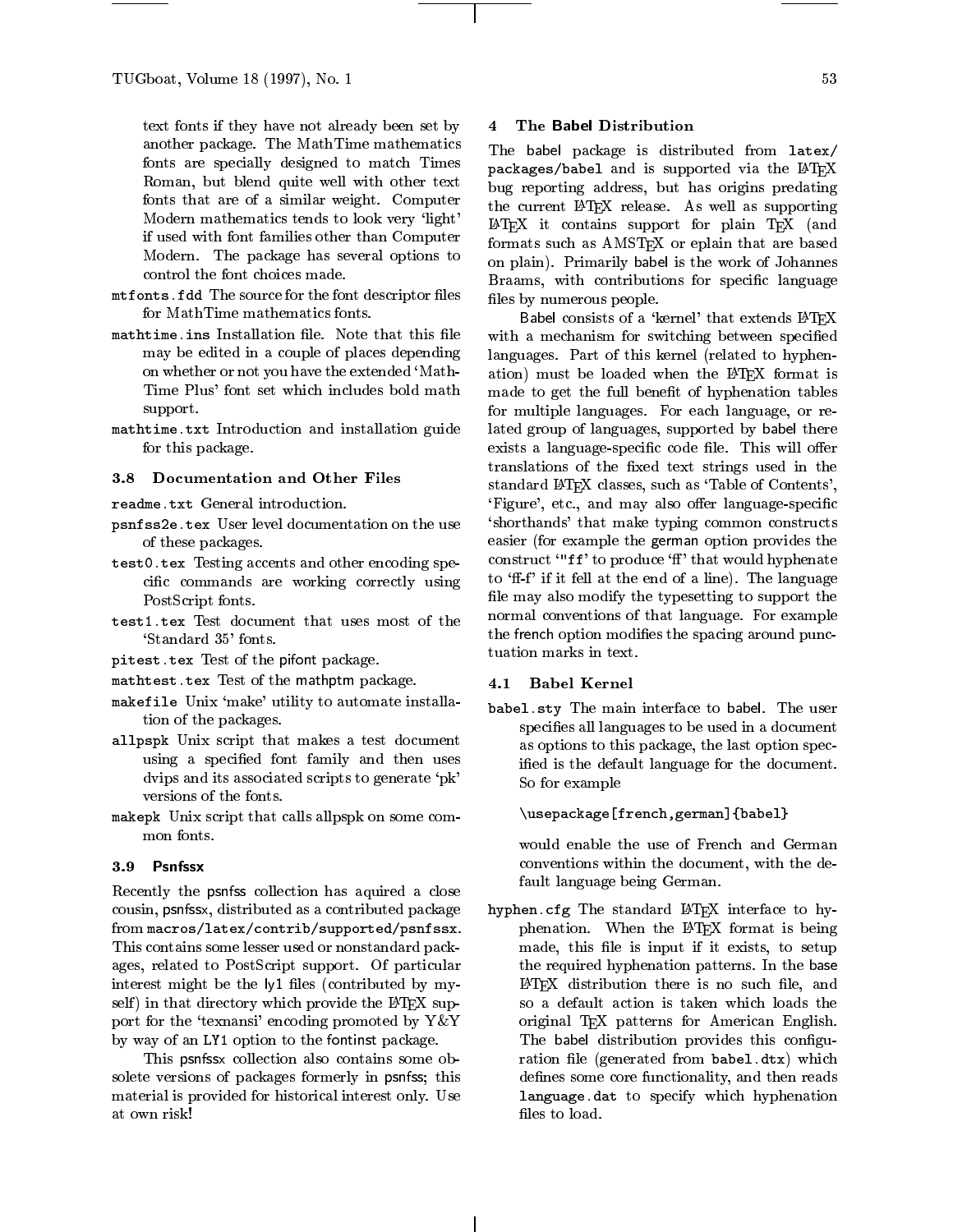text fonts if they have not already been set by another package. The MathTime mathematics fonts are specially designed to match Times Roman, but blend quite well with other text fonts that are of a similar weight. Computer Modern mathematics tends to look very 'light' if used with font families other than Computer Modern. The package has several options to control the font choices made.

- mter te source for the source for the form of the form of the form  $\mathbb{I}$  . If the for MathTime mathematics fonts.
- mathetime.ins installation into the that this integration may be edited in a couple of places depending on whether or not you have the extended `Math-Time Plus' font set which includes bold math support.
- matheme.txt Introduction and installation guide and for this package.

#### 3.8 Documentation and Other Files

readme.txt General introduction.

- psnesses: tex voor even documentation on the user and of these packages.
- test0.tex Testing accents and other encoding specific commands are working correctly using PostScript fonts.
- test1.tex Test document that uses most of the `Standard 35' fonts.
- pitest.tex Test of the pifont package.
- mathtest.tex Test of the mathptm package.
- makefile Unix `make' utility to automate installation of the packages.
- allpspe Unix stript that makes a test documents using a specied font family and then uses dvips and its associated scripts to generate 'pk' versions of the fonts.
- makepk Unix script that calls allpspk on some common fonts.

#### 3.9 Psnfssx

Recently the psnfss collection has aquired a close cousin, psnfssx, distributed as a contributed package from macros/latex/contrib/supported/psnfssx. This contains some lesser used or nonstandard packages, related to PostScript support. Of particular interest might be the ly1 files (contributed by myself) in that directory which provide the  $\mathbb{F}$ F<sub>F</sub>X support for the 'texnansi' encoding promoted by  $Y \& Y$ by way of an LY1 option to the fontinst package.

This psnfssx collection also contains some obsolete versions of packages formerly in psnfss; this material is provided for historical interest only. Use at own risk!

#### 4 The Babel Distribution

The babel package is distributed from latex/  $p$ ackages/babel and is supported via the E-IEA bug reporting address, but has origins predating the current LATEX release. As well as supporting LATEX it contains support for plain TEX (and formats such as AMSTEX or eplain that are based on plain). Primarily babel is the work of Johannes Braams, with contributions for specific language files by numerous people.

Babel consists of a 'kernel' that extends IATEX with a mechanism for switching between specified languages. Part of this kernel (related to hyphenation) must be loaded when the LAT<sub>F</sub>X format is made to get the full benefit of hyphenation tables for multiple languages. For each language, or related group of languages, supported by babel there exists a language-specific code file. This will offer translations of the fixed text strings used in the standard LATEX classes, such as 'Table of Contents', 'Figure', etc., and may also offer language-specific `shorthands' that make typing common constructs easier (for example the german option provides the construct '"ff' to produce 'ff' that would hyphenate to 'ff-f' if it fell at the end of a line). The language file may also modify the typesetting to support the normal conventions of that language. For example the french option modifies the spacing around punctuation marks in text.

## 4.1 Babel Kernel

babel.sty The main interface to babel. The user specifies all languages to be used in a document as options to this package, the last option specied is the default language for the document. So for example

### \usepackage[french,german]{babel}

would enable the use of French and German conventions within the document, with the default language being German.

 $\mathbf{h}$  and  $\mathbf{h}$  are standard LA $\mathbf{h}$  interface to  $\mathbf{h}$ phenation. When the LATEX format is being made, this file is input if it exists, to setup the required hyphenation patterns. In the base LATEX distribution there is no such file, and so a default action is taken which loads the original TEX patterns for American English. The babel distribution provides this configuration file (generated from babel.dtx) which defines some core functionality, and then reads language.dat to specify which hyphenation files to load.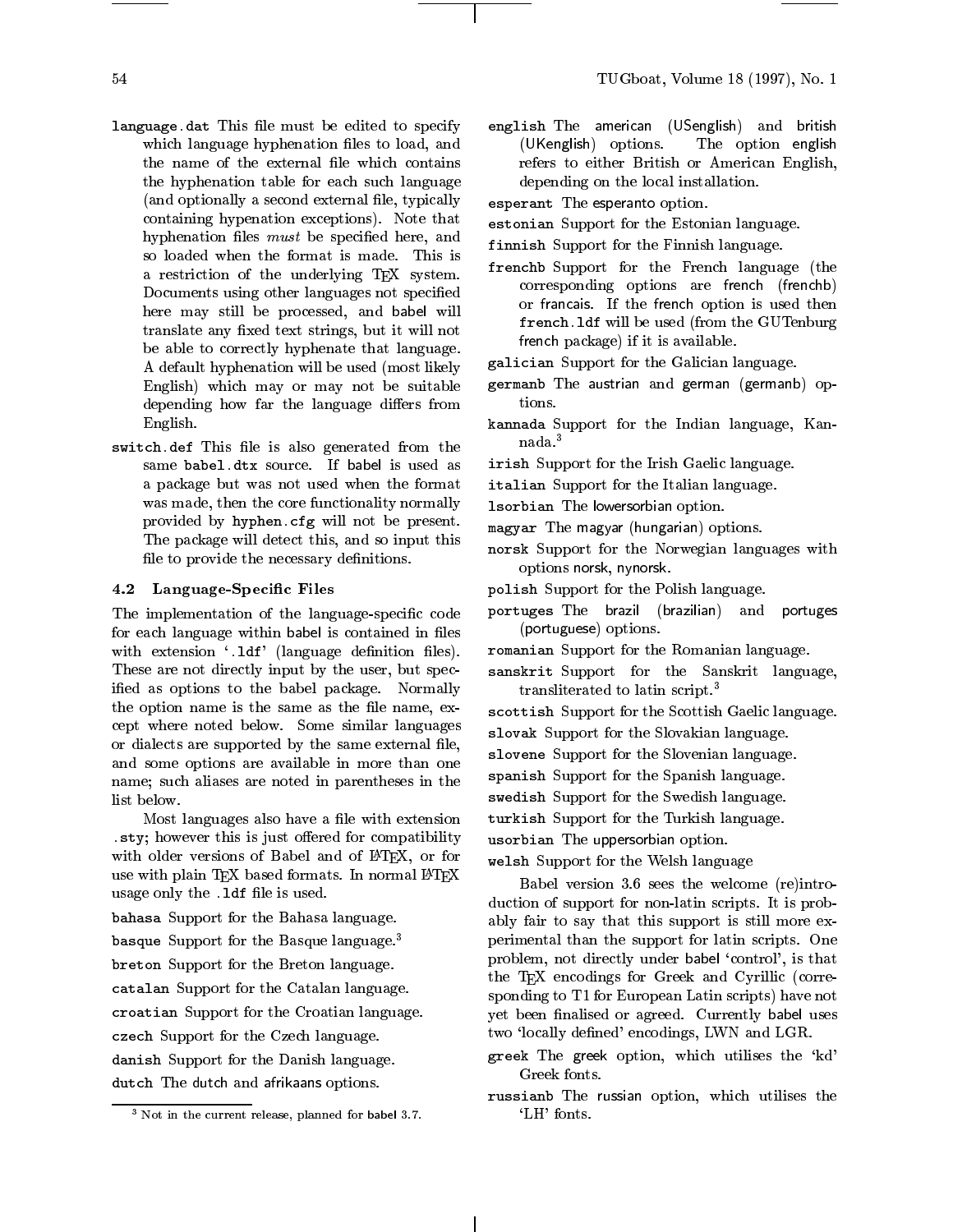- and the must complete the must be edited to specify the editor. which language hyphenation files to load, and the name of the external file which contains the hyphenation table for each such language (and optionally a second external file, typically containing hypenation exceptions). Note that hyphenation files *must* be specified here, and so loaded when the format is made. This is a restriction of the underlying T<sub>E</sub>X system. Documents using other languages not specied here may still be processed, and babel will translate any fixed text strings, but it will not be able to correctly hyphenate that language. A default hyphenation will be used (most likely English) which may or may not be suitable depending how far the language differs from English.
- switch.def This le is also generated from the same babel.dtx source. If babel is used as a package but was not used when the format was made, then the core functionality normally provided by hyphen.cfg will not be present. The package will detect this, and so input this file to provide the necessary definitions.

#### 4.2 Language-Specic Files

The implementation of the language-specific code for each language within babel is contained in files with extension '.1df' (language definition files). These are not directly input by the user, but specified as options to the babel package. Normally the option name is the same as the file name, except where noted below. Some similar languages or dialects are supported by the same external file, and some options are available in more than one name; such aliases are noted in parentheses in the list below.

Most languages also have a file with extension  $.$ sty; however this is just offered for compatibility with older versions of Babel and of IATEX, or for use with plain TFX based formats. In normal LATFX usage only the .1df file is used.

bahasa Support for the Bahasa language.

basque Support for the Basque language.3

breton Support for the Breton language.

catalan Support for the Catalan language.

croatian Support for the Croatian language.

czech Support for the Czech language.

danish Support for the Danish language.

dutch The dutch and africans. Options.

english The american (USenglish) and british (UKenglish) options. The option english refers to either British or American English, depending on the local installation.

esperant The esperanto option.

- estonian Support for the Estonian language.
- finnish Support for the Finnish language.
- frenchb Support for the French language (the corresponding options are french (frenchb) or francais. If the french option is used then frequencies will be used (from the GUTenburg  $\sim$ french package) if it is available.
- galician Support for the Galician language.
- germanb The austrian and german (germanb) options.
- kannada Support for the Indian language, Kannada.3

irish Support for the Irish Gaelic language.

- italian Support for the Italian language.
- lsorbian The lowersorbian option.
- magyar The magyar (hungarian) options.
- norsk Support for the Norwegian languages with  $\sim$ options norsk, nynorsk.
- polish Support for the Polish language.
- portuges The brazil (brazilian) and portuges (portuguese) options.
- romanian Support for the Romanian language.
- sanskrit Support for the Sanskrit language, transliterated to latin script.3
- scottish Support for the Scottish Gaelic language.
- slovak Support for the Slovakian language.
- slovene Support for the Slovenian language.
- spanish Support for the Spanish language.

swedish Support for the Swedish language.

- turkish Support for the Turkish language.
- usorbian The uppersorbian option.

welsh Support for the Welsh language

Babel version 3.6 sees the welcome (re)introduction of support for non-latin scripts. It is probably fair to say that this support is still more experimental than the support for latin scripts. One problem, not directly under babel 'control', is that the T<sub>E</sub>X encodings for Greek and Cyrillic (corresponding to T1 for European Latin scripts) have not yet been finalised or agreed. Currently babel uses two 'locally defined' encodings, LWN and LGR.

- greek The greek option, which utilises the `kd' Greek fonts.
- russianb The russian option, which utilises the `LH' fonts.

<sup>3</sup> Not in the current release, planned for babel 3.7.